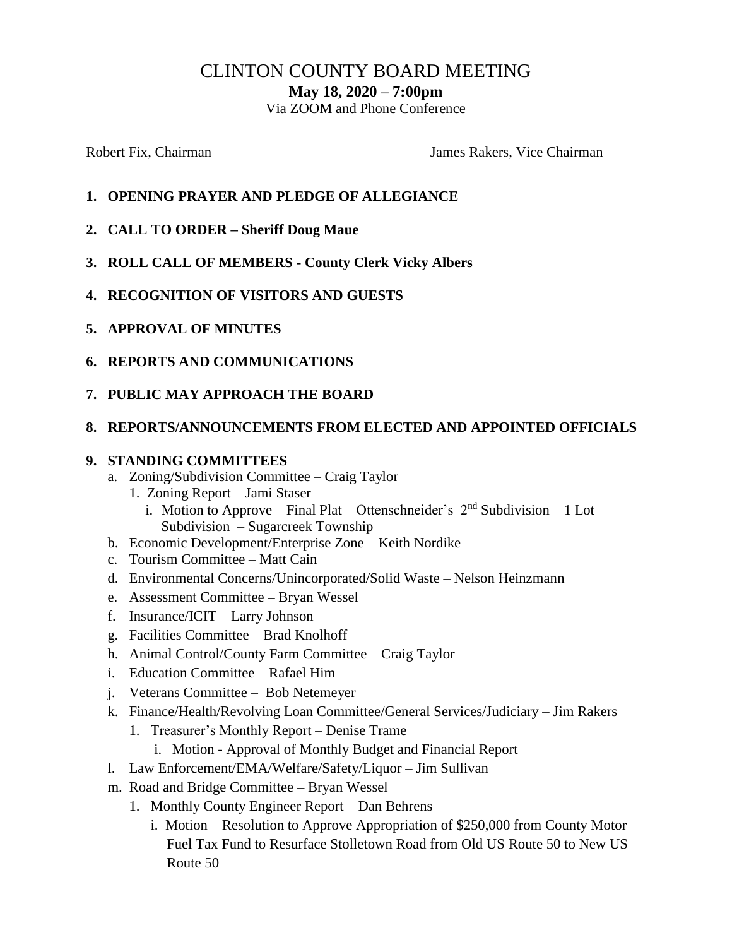# CLINTON COUNTY BOARD MEETING

**May 18, 2020 – 7:00pm**

Via ZOOM and Phone Conference

Robert Fix, Chairman The Chairman James Rakers, Vice Chairman

- **1. OPENING PRAYER AND PLEDGE OF ALLEGIANCE**
- **2. CALL TO ORDER – Sheriff Doug Maue**
- **3. ROLL CALL OF MEMBERS - County Clerk Vicky Albers**
- **4. RECOGNITION OF VISITORS AND GUESTS**
- **5. APPROVAL OF MINUTES**
- **6. REPORTS AND COMMUNICATIONS**
- **7. PUBLIC MAY APPROACH THE BOARD**

#### **8. REPORTS/ANNOUNCEMENTS FROM ELECTED AND APPOINTED OFFICIALS**

#### **9. STANDING COMMITTEES**

- a. Zoning/Subdivision Committee Craig Taylor
	- 1. Zoning Report Jami Staser
		- i. Motion to Approve Final Plat Ottenschneider's  $2<sup>nd</sup>$  Subdivision 1 Lot Subdivision – Sugarcreek Township
- b. Economic Development/Enterprise Zone Keith Nordike
- c. Tourism Committee Matt Cain
- d. Environmental Concerns/Unincorporated/Solid Waste Nelson Heinzmann
- e. Assessment Committee Bryan Wessel
- f. Insurance/ICIT Larry Johnson
- g. Facilities Committee Brad Knolhoff
- h. Animal Control/County Farm Committee Craig Taylor
- i. Education Committee Rafael Him
- j. Veterans Committee Bob Netemeyer
- k. Finance/Health/Revolving Loan Committee/General Services/Judiciary Jim Rakers
	- 1. Treasurer's Monthly Report Denise Trame
		- i. Motion Approval of Monthly Budget and Financial Report
- l. Law Enforcement/EMA/Welfare/Safety/Liquor Jim Sullivan
- m. Road and Bridge Committee Bryan Wessel
	- 1. Monthly County Engineer Report Dan Behrens
		- i. Motion Resolution to Approve Appropriation of  $$250,000$  from County Motor Fuel Tax Fund to Resurface Stolletown Road from Old US Route 50 to New US Route 50